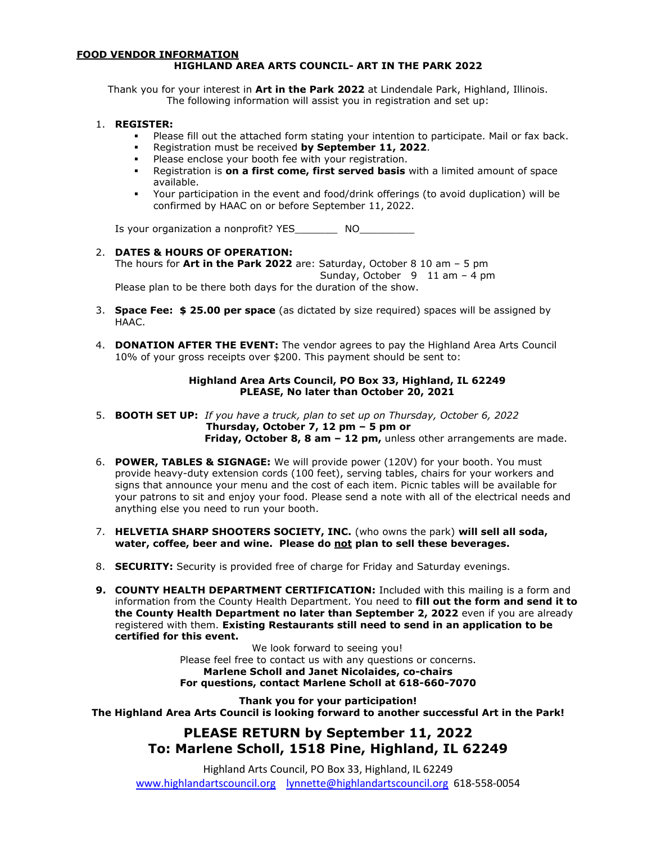#### **FOOD VENDOR INFORMATION HIGHLAND AREA ARTS COUNCIL- ART IN THE PARK 2022**

Thank you for your interest in **Art in the Park 2022** at Lindendale Park, Highland, Illinois. The following information will assist you in registration and set up:

#### 1. **REGISTER:**

- Please fill out the attached form stating your intention to participate. Mail or fax back.
- Registration must be received **by September 11, 2022**.
- Please enclose your booth fee with your registration.
- Registration is **on a first come, first served basis** with a limited amount of space available.
- Your participation in the event and food/drink offerings (to avoid duplication) will be confirmed by HAAC on or before September 11, 2022.

Is your organization a nonprofit? YES\_\_\_\_\_\_\_\_\_ NO\_\_\_\_\_\_\_\_\_\_

### 2. **DATES & HOURS OF OPERATION:**

The hours for **Art in the Park 2022** are: Saturday, October 8 10 am – 5 pm Sunday, October 9 11 am – 4 pm

Please plan to be there both days for the duration of the show.

- 3. **Space Fee: \$ 25.00 per space** (as dictated by size required) spaces will be assigned by HAAC.
- 4. **DONATION AFTER THE EVENT:** The vendor agrees to pay the Highland Area Arts Council 10% of your gross receipts over \$200. This payment should be sent to:

#### **Highland Area Arts Council, PO Box 33, Highland, IL 62249 PLEASE, No later than October 20, 2021**

- 5. **BOOTH SET UP:** *If you have a truck, plan to set up on Thursday, October 6, 2022* **Thursday, October 7, 12 pm – 5 pm or Friday, October 8, 8 am – 12 pm,** unless other arrangements are made.
- 6. **POWER, TABLES & SIGNAGE:** We will provide power (120V) for your booth. You must provide heavy-duty extension cords (100 feet), serving tables, chairs for your workers and signs that announce your menu and the cost of each item. Picnic tables will be available for your patrons to sit and enjoy your food. Please send a note with all of the electrical needs and anything else you need to run your booth.
- 7. **HELVETIA SHARP SHOOTERS SOCIETY, INC.** (who owns the park) **will sell all soda,**  water, coffee, beer and wine. Please do not plan to sell these beverages.
- 8. **SECURITY:** Security is provided free of charge for Friday and Saturday evenings.
- **9. COUNTY HEALTH DEPARTMENT CERTIFICATION:** Included with this mailing is a form and information from the County Health Department. You need to **fill out the form and send it to the County Health Department no later than September 2, 2022** even if you are already registered with them. **Existing Restaurants still need to send in an application to be certified for this event.**

We look forward to seeing you! Please feel free to contact us with any questions or concerns. **Marlene Scholl and Janet Nicolaides, co-chairs For questions, contact Marlene Scholl at 618-660-7070**

**Thank you for your participation! The Highland Area Arts Council is looking forward to another successful Art in the Park!**

## **PLEASE RETURN by September 11, 2022 To: Marlene Scholl, 1518 Pine, Highland, IL 62249**

Highland Arts Council, PO Box 33, Highland, IL 62249 [www.highlandartscouncil.org](http://www.highlandartscouncil.org/) [lynnette@highlandartscouncil.org](mailto:lynnette@highlandartscouncil.org) 618-558-0054